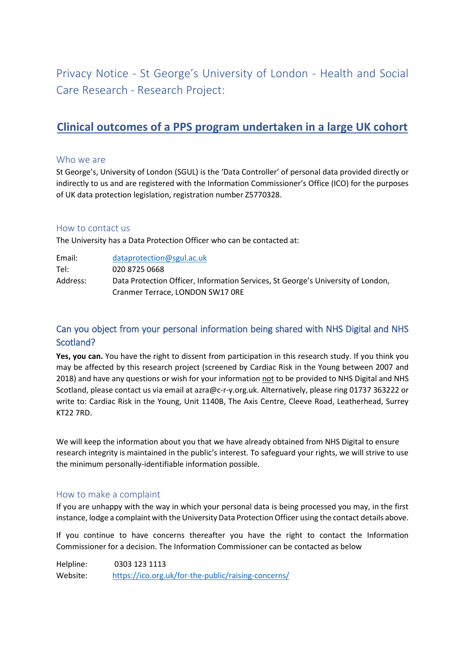Privacy Notice - St George's University of London - Health and Social Care Research - Research Project:

# **Clinical outcomes of a PPS program undertaken in a large UK cohort**

#### Who we are

St George's, University of London (SGUL) is the 'Data Controller' of personal data provided directly or indirectly to us and are registered with the Information Commissioner's Office (ICO) for the purposes of UK data protection legislation, registration number Z5770328.

#### How to contact us

The University has a Data Protection Officer who can be contacted at:

| Email:   | dataprotection@sgul.ac.uk                                                        |
|----------|----------------------------------------------------------------------------------|
| Tel:     | 020 8725 0668                                                                    |
| Address: | Data Protection Officer, Information Services, St George's University of London, |
|          | Cranmer Terrace, LONDON SW17 ORE                                                 |

# Can you object from your personal information being shared with NHS Digital and NHS Scotland?

Yes, you can. You have the right to dissent from participation in this research study. If you think you may be affected by this research project (screened by Cardiac Risk in the Young between 2007 and 2018) and have any questions or wish for your information not to be provided to NHS Digital and NHS Scotland, please contact us via email at azra@c-r-y.org.uk. Alternatively, please ring 01737 363222 or write to: Cardiac Risk in the Young, Unit 1140B, The Axis Centre, Cleeve Road, Leatherhead, Surrey KT22 7RD.

We will keep the information about you that we have already obtained from NHS Digital to ensure research integrity is maintained in the public's interest. To safeguard your rights, we will strive to use the minimum personally-identifiable information possible.

## How to make a complaint

If you are unhappy with the way in which your personal data is being processed you may, in the first instance, lodge a complaint with the University Data Protection Officer using the contact details above.

If you continue to have concerns thereafter you have the right to contact the Information Commissioner for a decision. The Information Commissioner can be contacted as below

Helpline: 0303 123 1113 Website: <https://ico.org.uk/for-the-public/raising-concerns/>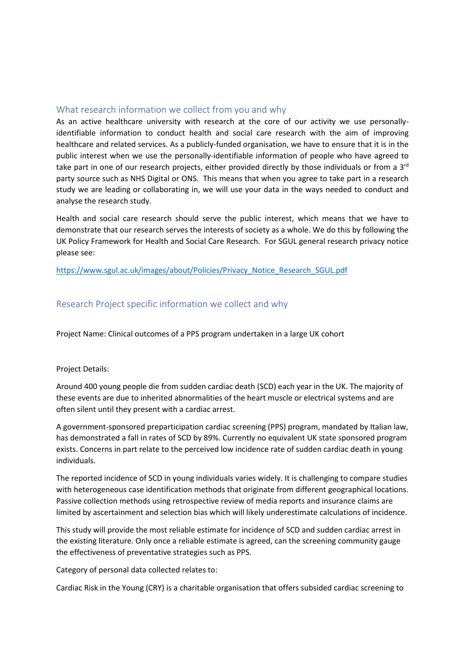#### What research information we collect from you and why

As an active healthcare university with research at the core of our activity we use personallyidentifiable information to conduct health and social care research with the aim of improving healthcare and related services. As a publicly-funded organisation, we have to ensure that it is in the public interest when we use the personally-identifiable information of people who have agreed to take part in one of our research projects, either provided directly by those individuals or from a  $3<sup>rd</sup>$ party source such as NHS Digital or ONS. This means that when you agree to take part in a research study we are leading or collaborating in, we will use your data in the ways needed to conduct and analyse the research study.

Health and social care research should serve the public interest, which means that we have to demonstrate that our research serves the interests of society as a whole. We do this by following the UK Policy Framework for Health and Social Care Research. For SGUL general research privacy notice please see:

[https://www.sgul.ac.uk/images/about/Policies/Privacy\\_Notice\\_Research\\_SGUL.pdf](https://www.sgul.ac.uk/images/about/Policies/Privacy_Notice_Research_SGUL.pdf)

## Research Project specific information we collect and why

Project Name: Clinical outcomes of a PPS program undertaken in a large UK cohort

#### Project Details:

Around 400 young people die from sudden cardiac death (SCD) each year in the UK. The majority of these events are due to inherited abnormalities of the heart muscle or electrical systems and are often silent until they present with a cardiac arrest.

A government-sponsored preparticipation cardiac screening (PPS) program, mandated by Italian law, has demonstrated a fall in rates of SCD by 89%. Currently no equivalent UK state sponsored program exists. Concerns in part relate to the perceived low incidence rate of sudden cardiac death in young individuals.

The reported incidence of SCD in young individuals varies widely. It is challenging to compare studies with heterogeneous case identification methods that originate from different geographical locations. Passive collection methods using retrospective review of media reports and insurance claims are limited by ascertainment and selection bias which will likely underestimate calculations of incidence.

This study will provide the most reliable estimate for incidence of SCD and sudden cardiac arrest in the existing literature. Only once a reliable estimate is agreed, can the screening community gauge the effectiveness of preventative strategies such as PPS.

Category of personal data collected relates to:

Cardiac Risk in the Young (CRY) is a charitable organisation that offers subsided cardiac screening to